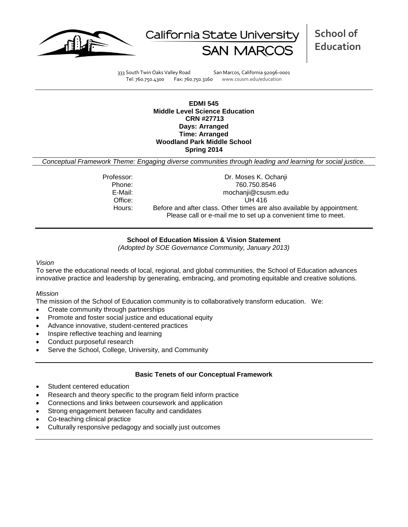



**School of Education**

333 South Twin Oaks Valley Road San Marcos, California 92096-0001 Tel: 760.750.4300 Fax: 760.750.3160 www.csusm.edu/education

**EDMI 545 Middle Level Science Education CRN #27713 Days: Arranged Time: Arranged Woodland Park Middle School Spring 2014** 

*Conceptual Framework Theme: Engaging diverse communities through leading and learning for social justice.*

Professor: Dr. Moses K. Ochanji Phone: 760.750.8546 E-Mail: mochanji@csusm.edu Office: UH 416 Hours: Before and after class. Other times are also available by appointment. Please call or e-mail me to set up a convenient time to meet.

## **School of Education Mission & Vision Statement**

*(Adopted by SOE Governance Community, January 2013)*

#### *Vision*

To serve the educational needs of local, regional, and global communities, the School of Education advances innovative practice and leadership by generating, embracing, and promoting equitable and creative solutions.

### *Mission*

The mission of the School of Education community is to collaboratively transform education. We:

- Create community through partnerships
- Promote and foster social justice and educational equity
- Advance innovative, student-centered practices
- Inspire reflective teaching and learning
- Conduct purposeful research
- Serve the School, College, University, and Community

### **Basic Tenets of our Conceptual Framework**

- Student centered education
- Research and theory specific to the program field inform practice
- Connections and links between coursework and application
- Strong engagement between faculty and candidates
- Co-teaching clinical practice
- Culturally responsive pedagogy and socially just outcomes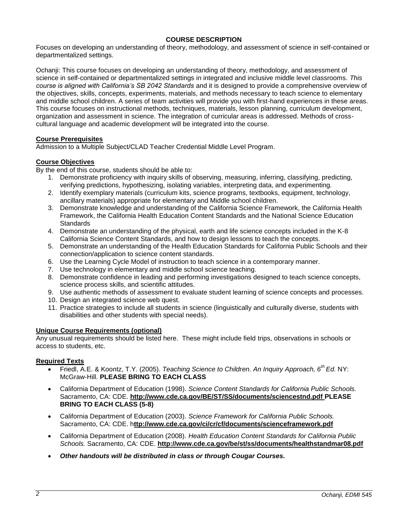## **COURSE DESCRIPTION**

Focuses on developing an understanding of theory, methodology, and assessment of science in self-contained or departmentalized settings.

Ochanji: This course focuses on developing an understanding of theory, methodology, and assessment of science in self-contained or departmentalized settings in integrated and inclusive middle level classrooms. *This course is aligned with California's SB 2042 Standards* and it is designed to provide a comprehensive overview of the objectives, skills, concepts, experiments, materials, and methods necessary to teach science to elementary and middle school children. A series of team activities will provide you with first-hand experiences in these areas. This course focuses on instructional methods, techniques, materials, lesson planning, curriculum development, organization and assessment in science. The integration of curricular areas is addressed. Methods of crosscultural language and academic development will be integrated into the course.

## **Course Prerequisites**

Admission to a Multiple Subject/CLAD Teacher Credential Middle Level Program.

## **Course Objectives**

By the end of this course, students should be able to:

- 1. Demonstrate proficiency with inquiry skills of observing, measuring, inferring, classifying, predicting, verifying predictions, hypothesizing, isolating variables, interpreting data, and experimenting.
- 2. Identify exemplary materials (curriculum kits, science programs, textbooks, equipment, technology, ancillary materials) appropriate for elementary and Middle school children.
- 3. Demonstrate knowledge and understanding of the California Science Framework, the California Health Framework, the California Health Education Content Standards and the National Science Education **Standards**
- 4. Demonstrate an understanding of the physical, earth and life science concepts included in the K-8 California Science Content Standards, and how to design lessons to teach the concepts.
- 5. Demonstrate an understanding of the Health Education Standards for California Public Schools and their connection/application to science content standards.
- 6. Use the Learning Cycle Model of instruction to teach science in a contemporary manner.
- 7. Use technology in elementary and middle school science teaching.
- 8. Demonstrate confidence in leading and performing investigations designed to teach science concepts, science process skills, and scientific attitudes.
- 9. Use authentic methods of assessment to evaluate student learning of science concepts and processes.
- 10. Design an integrated science web quest.
- 11. Practice strategies to include all students in science (linguistically and culturally diverse, students with disabilities and other students with special needs).

### **Unique Course Requirements (optional)**

Any unusual requirements should be listed here. These might include field trips, observations in schools or access to students, etc.

### **Required Texts**

- Friedl, A.E. & Koontz, T.Y. (2005). *Teaching Science to Children. An Inquiry Approach, 6th Ed.* NY: McGraw-Hill. **PLEASE BRING TO EACH CLASS**
- California Department of Education (1998). *Science Content Standards for California Public Schools.*  Sacramento, CA: CDE. **http://www.cde.ca.gov/BE/ST/SS/documents/sciencestnd.pdf PLEASE BRING TO EACH CLASS (5-8)**
- California Department of Education (2003). *Science Framework for California Public Schools.*  Sacramento, CA: CDE. h**ttp://www.cde.ca.gov/ci/cr/cf/documents/scienceframework.pdf**
- California Department of Education (2008). *Health Education Content Standards for California Public Schools.* Sacramento, CA: CDE. **http://www.cde.ca.gov/be/st/ss/documents/healthstandmar08.pdf**
- *Other handouts will be distributed in class or through Cougar Courses.*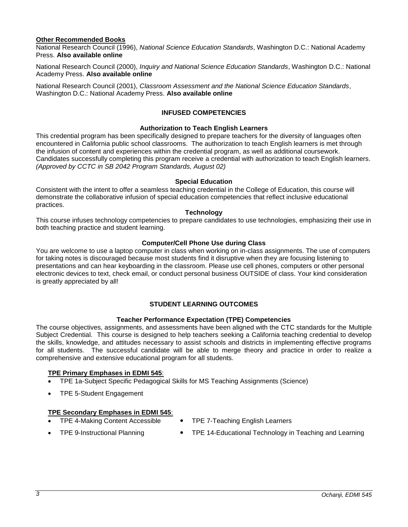## **Other Recommended Books**

National Research Council (1996), *National Science Education Standards*, Washington D.C.: National Academy Press. **Also available online** 

National Research Council (2000), *Inquiry and National Science Education Standards*, Washington D.C.: National Academy Press. **Also available online** 

National Research Council (2001), *Classroom Assessment and the National Science Education Standards*, Washington D.C.: National Academy Press. **Also available online** 

## **INFUSED COMPETENCIES**

### **Authorization to Teach English Learners**

This credential program has been specifically designed to prepare teachers for the diversity of languages often encountered in California public school classrooms. The authorization to teach English learners is met through the infusion of content and experiences within the credential program, as well as additional coursework. Candidates successfully completing this program receive a credential with authorization to teach English learners. *(Approved by CCTC in SB 2042 Program Standards, August 02)*

#### **Special Education**

Consistent with the intent to offer a seamless teaching credential in the College of Education, this course will demonstrate the collaborative infusion of special education competencies that reflect inclusive educational practices.

#### **Technology**

This course infuses technology competencies to prepare candidates to use technologies, emphasizing their use in both teaching practice and student learning.

### **Computer/Cell Phone Use during Class**

You are welcome to use a laptop computer in class when working on in-class assignments. The use of computers for taking notes is discouraged because most students find it disruptive when they are focusing listening to presentations and can hear keyboarding in the classroom. Please use cell phones, computers or other personal electronic devices to text, check email, or conduct personal business OUTSIDE of class. Your kind consideration is greatly appreciated by all!

# **STUDENT LEARNING OUTCOMES**

#### **Teacher Performance Expectation (TPE) Competencies**

The course objectives, assignments, and assessments have been aligned with the CTC standards for the Multiple Subject Credential. This course is designed to help teachers seeking a California teaching credential to develop the skills, knowledge, and attitudes necessary to assist schools and districts in implementing effective programs for all students. The successful candidate will be able to merge theory and practice in order to realize a comprehensive and extensive educational program for all students.

## **TPE Primary Emphases in EDMI 545**:

- TPE 1a-Subject Specific Pedagogical Skills for MS Teaching Assignments (Science)
- TPE 5-Student Engagement

#### **TPE Secondary Emphases in EDMI 545**:

- TPE 4-Making Content Accessible TPE 7-Teaching English Learners
- 
- TPE 9-Instructional Planning TPE 14-Educational Technology in Teaching and Learning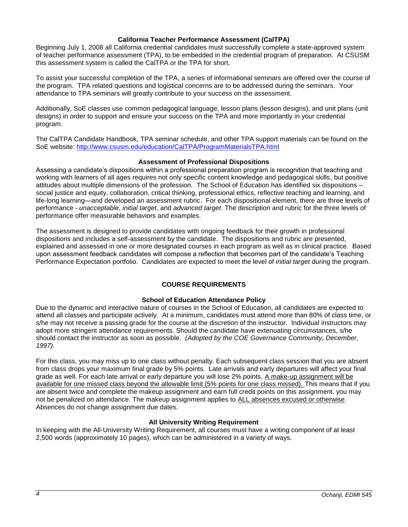### **California Teacher Performance Assessment (CalTPA)**

Beginning July 1, 2008 all California credential candidates must successfully complete a state-approved system of teacher performance assessment (TPA), to be embedded in the credential program of preparation. At CSUSM this assessment system is called the CalTPA or the TPA for short.

To assist your successful completion of the TPA, a series of informational seminars are offered over the course of the program. TPA related questions and logistical concerns are to be addressed during the seminars. Your attendance to TPA seminars will greatly contribute to your success on the assessment.

Additionally, SoE classes use common pedagogical language, lesson plans (lesson designs), and unit plans (unit designs) in order to support and ensure your success on the TPA and more importantly in your credential program.

The CalTPA Candidate Handbook, TPA seminar schedule, and other TPA support materials can be found on the SoE website: <http://www.csusm.edu/education/CalTPA/ProgramMaterialsTPA.html>

### **Assessment of Professional Dispositions**

Assessing a candidate's dispositions within a professional preparation program is recognition that teaching and working with learners of all ages requires not only specific content knowledge and pedagogical skills, but positive attitudes about multiple dimensions of the profession. The School of Education has identified six dispositions – social justice and equity, collaboration, critical thinking, professional ethics, reflective teaching and learning, and life-long learning—and developed an assessment rubric. For each dispositional element, there are three levels of performance - *unacceptable*, *initial target*, and *advanced target*. The description and rubric for the three levels of performance offer measurable behaviors and examples.

The assessment is designed to provide candidates with ongoing feedback for their growth in professional dispositions and includes a self-assessment by the candidate. The dispositions and rubric are presented, explained and assessed in one or more designated courses in each program as well as in clinical practice. Based upon assessment feedback candidates will compose a reflection that becomes part of the candidate's Teaching Performance Expectation portfolio. Candidates are expected to meet the level of *initial target* during the program.

### **COURSE REQUIREMENTS**

### **School of Education Attendance Policy**

Due to the dynamic and interactive nature of courses in the School of Education, all candidates are expected to attend all classes and participate actively. At a minimum, candidates must attend more than 80% of class time, or s/he may not receive a passing grade for the course at the discretion of the instructor. Individual instructors may adopt more stringent attendance requirements. Should the candidate have extenuating circumstances, s/he should contact the instructor as soon as possible. *(Adopted by the COE Governance Community, December, 1997).*

For this class, you may miss up to one class without penalty. Each subsequent class session that you are absent from class drops your maximum final grade by 5% points. Late arrivals and early departures will affect your final grade as well. For each late arrival or early departure you will lose 2% points. A make-up assignment will be available for one missed class beyond the allowable limit (5% points for one class missed). This means that if you are absent twice and complete the makeup assignment and earn full credit points on this assignment, you may not be penalized on attendance. The makeup assignment applies to ALL absences excused or otherwise. Absences do not change assignment due dates.

### **All University Writing Requirement**

In keeping with the All-University Writing Requirement, all courses must have a writing component of at least 2,500 words (approximately 10 pages), which can be administered in a variety of ways.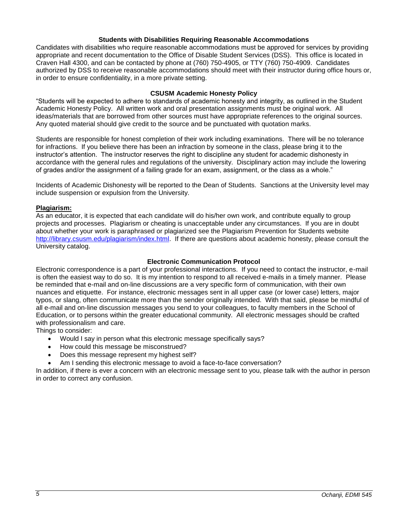### **Students with Disabilities Requiring Reasonable Accommodations**

Candidates with disabilities who require reasonable accommodations must be approved for services by providing appropriate and recent documentation to the Office of Disable Student Services (DSS). This office is located in Craven Hall 4300, and can be contacted by phone at (760) 750-4905, or TTY (760) 750-4909. Candidates authorized by DSS to receive reasonable accommodations should meet with their instructor during office hours or, in order to ensure confidentiality, in a more private setting.

## **CSUSM Academic Honesty Policy**

"Students will be expected to adhere to standards of academic honesty and integrity, as outlined in the Student Academic Honesty Policy. All written work and oral presentation assignments must be original work. All ideas/materials that are borrowed from other sources must have appropriate references to the original sources. Any quoted material should give credit to the source and be punctuated with quotation marks.

Students are responsible for honest completion of their work including examinations. There will be no tolerance for infractions. If you believe there has been an infraction by someone in the class, please bring it to the instructor's attention. The instructor reserves the right to discipline any student for academic dishonesty in accordance with the general rules and regulations of the university. Disciplinary action may include the lowering of grades and/or the assignment of a failing grade for an exam, assignment, or the class as a whole."

Incidents of Academic Dishonesty will be reported to the Dean of Students. Sanctions at the University level may include suspension or expulsion from the University.

## **Plagiarism:**

As an educator, it is expected that each candidate will do his/her own work, and contribute equally to group projects and processes. Plagiarism or cheating is unacceptable under any circumstances. If you are in doubt about whether your work is paraphrased or plagiarized see the Plagiarism Prevention for Students website [http://library.csusm.edu/plagiarism/index.html.](http://library.csusm.edu/plagiarism/index.html) If there are questions about academic honesty, please consult the University catalog.

## **Electronic Communication Protocol**

Electronic correspondence is a part of your professional interactions. If you need to contact the instructor, e-mail is often the easiest way to do so. It is my intention to respond to all received e-mails in a timely manner. Please be reminded that e-mail and on-line discussions are a very specific form of communication, with their own nuances and etiquette. For instance, electronic messages sent in all upper case (or lower case) letters, major typos, or slang, often communicate more than the sender originally intended. With that said, please be mindful of all e-mail and on-line discussion messages you send to your colleagues, to faculty members in the School of Education, or to persons within the greater educational community. All electronic messages should be crafted with professionalism and care.

Things to consider:

- Would I say in person what this electronic message specifically says?
- How could this message be misconstrued?
- Does this message represent my highest self?
- Am I sending this electronic message to avoid a face-to-face conversation?

In addition, if there is ever a concern with an electronic message sent to you, please talk with the author in person in order to correct any confusion.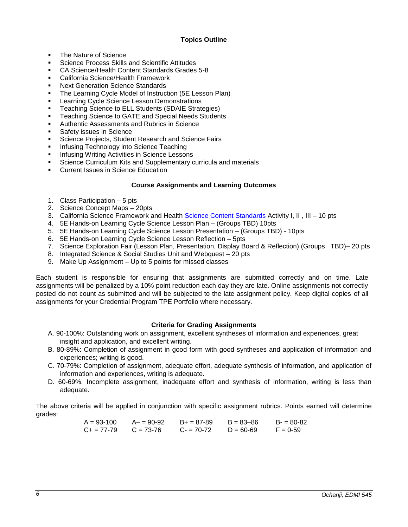# **Topics Outline**

- The Nature of Science
- Science Process Skills and Scientific Attitudes
- CA Science/Health Content Standards Grades 5-8
- California Science/Health Framework
- Next Generation Science Standards
- The Learning Cycle Model of Instruction (5E Lesson Plan)
- Learning Cycle Science Lesson Demonstrations
- Teaching Science to ELL Students (SDAIE Strategies)
- Teaching Science to GATE and Special Needs Students
- Authentic Assessments and Rubrics in Science
- Safety issues in Science
- Science Projects, Student Research and Science Fairs
- Infusing Technology into Science Teaching
- Infusing Writing Activities in Science Lessons
- Science Curriculum Kits and Supplementary curricula and materials
- **Current Issues in Science Education**

# **Course Assignments and Learning Outcomes**

- 1. Class Participation 5 pts
- 2. Science Concept Maps 20pts
- 3. California Science Framework and Health [Science Content Standards A](http://www.cde.ca.gov/be/st/ss/documents/sciencestnd.pdf)ctivity I, II , III 10 pts
- 4. 5E Hands-on Learning Cycle Science Lesson Plan (Groups TBD) 10pts
- 5. 5E Hands-on Learning Cycle Science Lesson Presentation (Groups TBD) 10pts
- 6. 5E Hands-on Learning Cycle Science Lesson Reflection 5pts
- 7. Science Exploration Fair (Lesson Plan, Presentation, Display Board & Reflection) (Groups TBD)– 20 pts
- 8. Integrated Science & Social Studies Unit and Webquest 20 pts
- 9. Make Up Assignment Up to 5 points for missed classes

Each student is responsible for ensuring that assignments are submitted correctly and on time. Late assignments will be penalized by a 10% point reduction each day they are late. Online assignments not correctly posted do not count as submitted and will be subjected to the late assignment policy. Keep digital copies of all assignments for your Credential Program TPE Portfolio where necessary.

# **Criteria for Grading Assignments**

- A. 90-100%: Outstanding work on assignment, excellent syntheses of information and experiences, great insight and application, and excellent writing.
- B. 80-89%: Completion of assignment in good form with good syntheses and application of information and experiences; writing is good.
- C. 70-79%: Completion of assignment, adequate effort, adequate synthesis of information, and application of information and experiences, writing is adequate.
- D. 60-69%: Incomplete assignment, inadequate effort and synthesis of information, writing is less than adequate.

The above criteria will be applied in conjunction with specific assignment rubrics. Points earned will determine grades:

> $A = 93-100$   $A = 90-92$   $B = 87-89$   $B = 83-86$   $B = 80-82$  $C_+ = 77-79$   $C = 73-76$   $C_- = 70-72$   $D = 60-69$   $F = 0-59$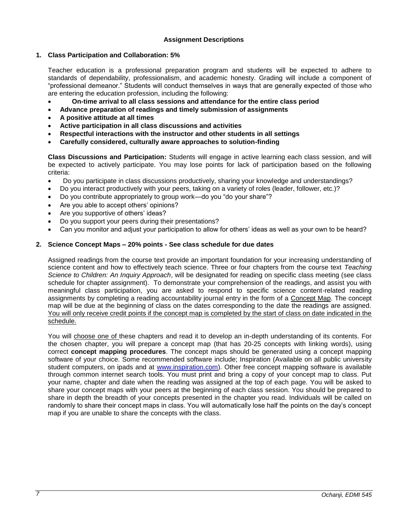## **Assignment Descriptions**

## **1. Class Participation and Collaboration: 5%**

Teacher education is a professional preparation program and students will be expected to adhere to standards of dependability, professionalism, and academic honesty. Grading will include a component of "professional demeanor." Students will conduct themselves in ways that are generally expected of those who are entering the education profession, including the following:

- **On-time arrival to all class sessions and attendance for the entire class period**
- **Advance preparation of readings and timely submission of assignments**
- **A positive attitude at all times**
- **Active participation in all class discussions and activities**
- **Respectful interactions with the instructor and other students in all settings**
- **Carefully considered, culturally aware approaches to solution-finding**

**Class Discussions and Participation:** Students will engage in active learning each class session, and will be expected to actively participate. You may lose points for lack of participation based on the following criteria:

- Do you participate in class discussions productively, sharing your knowledge and understandings?
- Do you interact productively with your peers, taking on a variety of roles (leader, follower, etc.)?
- Do you contribute appropriately to group work—do you "do your share"?
- Are you able to accept others' opinions?
- Are you supportive of others' ideas?
- Do you support your peers during their presentations?
- Can you monitor and adjust your participation to allow for others' ideas as well as your own to be heard?

### **2. Science Concept Maps – 20% points - See class schedule for due dates**

Assigned readings from the course text provide an important foundation for your increasing understanding of science content and how to effectively teach science. Three or four chapters from the course text *Teaching Science to Children: An Inquiry Approach*, will be designated for reading on specific class meeting (see class schedule for chapter assignment). To demonstrate your comprehension of the readings, and assist you with meaningful class participation, you are asked to respond to specific science content-related reading assignments by completing a reading accountability journal entry in the form of a Concept Map. The concept map will be due at the beginning of class on the dates corresponding to the date the readings are assigned. You will only receive credit points if the concept map is completed by the start of class on date indicated in the schedule.

You will choose one of these chapters and read it to develop an in-depth understanding of its contents. For the chosen chapter, you will prepare a concept map (that has 20-25 concepts with linking words), using correct **concept mapping procedures**. The concept maps should be generated using a concept mapping software of your choice. Some recommended software include; Inspiration (Available on all public university student computers, on ipads and at [www.inspiration.com\)](http://www.inspiration.com/). Other free concept mapping software is available through common internet search tools. You must print and bring a copy of your concept map to class. Put your name, chapter and date when the reading was assigned at the top of each page. You will be asked to share your concept maps with your peers at the beginning of each class session. You should be prepared to share in depth the breadth of your concepts presented in the chapter you read. Individuals will be called on randomly to share their concept maps in class. You will automatically lose half the points on the day's concept map if you are unable to share the concepts with the class.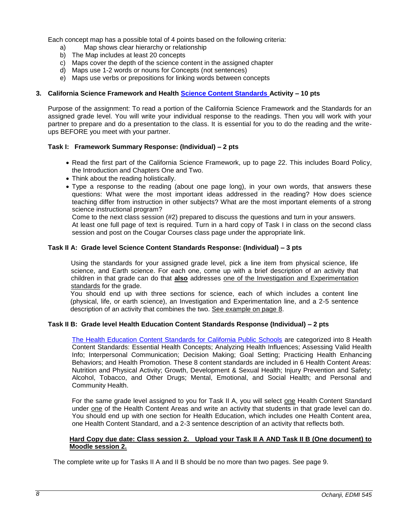Each concept map has a possible total of 4 points based on the following criteria:

- a) Map shows clear hierarchy or relationship
- b) The Map includes at least 20 concepts
- c) Maps cover the depth of the science content in the assigned chapter
- d) Maps use 1-2 words or nouns for Concepts (not sentences)
- e) Maps use verbs or prepositions for linking words between concepts

## **3. California Science Framework and Health [Science Content Standards A](http://www.cde.ca.gov/be/st/ss/documents/sciencestnd.pdf)ctivity – 10 pts**

Purpose of the assignment: To read a portion of the California Science Framework and the Standards for an assigned grade level. You will write your individual response to the readings. Then you will work with your partner to prepare and do a presentation to the class. It is essential for you to do the reading and the writeups BEFORE you meet with your partner.

### **Task I: Framework Summary Response: (Individual) – 2 pts**

- Read the first part of the California Science Framework, up to page 22. This includes Board Policy, the Introduction and Chapters One and Two.
- Think about the reading holistically.
- Type a response to the reading (about one page long), in your own words, that answers these questions: What were the most important ideas addressed in the reading? How does science teaching differ from instruction in other subjects? What are the most important elements of a strong science instructional program?

Come to the next class session (#2) prepared to discuss the questions and turn in your answers. At least one full page of text is required. Turn in a hard copy of Task I in class on the second class session and post on the Cougar Courses class page under the appropriate link.

### **Task II A: Grade level Science Content Standards Response: (Individual) – 3 pts**

Using the standards for your assigned grade level, pick a line item from physical science, life science, and Earth science. For each one, come up with a brief description of an activity that children in that grade can do that **also** addresses one of the Investigation and Experimentation standards for the grade.

You should end up with three sections for science, each of which includes a content line (physical, life, or earth science), an Investigation and Experimentation line, and a 2-5 sentence description of an activity that combines the two. See example on page 8.

### **Task II B: Grade level Health Education Content Standards Response (Individual) – 2 pts**

[The Health Education Content Standards for California Public Schools](http://www.cde.ca.gov/be/st/ss/documents/healthstandmar08.pdf) are categorized into 8 Health Content Standards: Essential Health Concepts; Analyzing Health Influences; Assessing Valid Health Info; Interpersonal Communication; Decision Making; Goal Setting; Practicing Health Enhancing Behaviors; and Health Promotion. These 8 content standards are included in 6 Health Content Areas: Nutrition and Physical Activity; Growth, Development & Sexual Health; Injury Prevention and Safety; Alcohol, Tobacco, and Other Drugs; Mental, Emotional, and Social Health; and Personal and Community Health.

For the same grade level assigned to you for Task II A, you will select one Health Content Standard under one of the Health Content Areas and write an activity that students in that grade level can do. You should end up with one section for Health Education, which includes one Health Content area, one Health Content Standard, and a 2-3 sentence description of an activity that reflects both.

## **Hard Copy due date: Class session 2. Upload your Task II A AND Task II B (One document) to Moodle session 2.**

The complete write up for Tasks II A and II B should be no more than two pages. See page 9.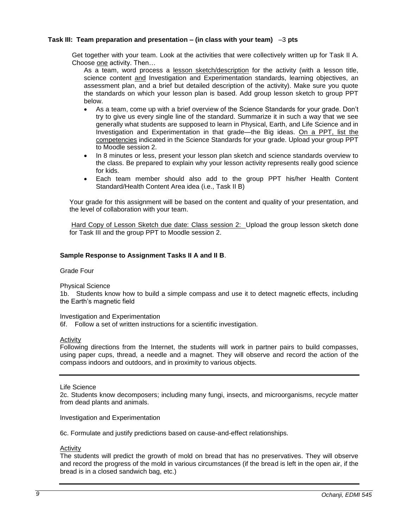## **Task III: Team preparation and presentation – (in class with your team)** –3 **pts**

Get together with your team. Look at the activities that were collectively written up for Task II A. Choose one activity. Then...

As a team, word process a lesson sketch/description for the activity (with a lesson title, science content and Investigation and Experimentation standards, learning objectives, an assessment plan, and a brief but detailed description of the activity). Make sure you quote the standards on which your lesson plan is based. Add group lesson sketch to group PPT below.

- As a team, come up with a brief overview of the Science Standards for your grade. Don't try to give us every single line of the standard. Summarize it in such a way that we see generally what students are supposed to learn in Physical, Earth, and Life Science and in Investigation and Experimentation in that grade—the Big ideas. On a PPT, list the competencies indicated in the Science Standards for your grade. Upload your group PPT to Moodle session 2.
- In 8 minutes or less, present your lesson plan sketch and science standards overview to the class. Be prepared to explain why your lesson activity represents really good science for kids.
- Each team member should also add to the group PPT his/her Health Content Standard/Health Content Area idea (i.e., Task II B)

Your grade for this assignment will be based on the content and quality of your presentation, and the level of collaboration with your team.

Hard Copy of Lesson Sketch due date: Class session 2: Upload the group lesson sketch done for Task III and the group PPT to Moodle session 2.

### **Sample Response to Assignment Tasks II A and II B**.

Grade Four

Physical Science

1b. Students know how to build a simple compass and use it to detect magnetic effects, including the Earth's magnetic field

Investigation and Experimentation

6f. Follow a set of written instructions for a scientific investigation.

### Activity

Following directions from the Internet, the students will work in partner pairs to build compasses, using paper cups, thread, a needle and a magnet. They will observe and record the action of the compass indoors and outdoors, and in proximity to various objects.

Life Science

2c. Students know decomposers; including many fungi, insects, and microorganisms, recycle matter from dead plants and animals.

Investigation and Experimentation

6c. Formulate and justify predictions based on cause-and-effect relationships.

#### Activity

The students will predict the growth of mold on bread that has no preservatives. They will observe and record the progress of the mold in various circumstances (if the bread is left in the open air, if the bread is in a closed sandwich bag, etc.)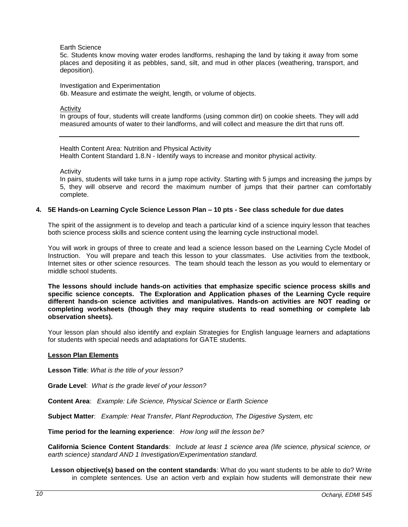#### Earth Science

5c. Students know moving water erodes landforms, reshaping the land by taking it away from some places and depositing it as pebbles, sand, silt, and mud in other places (weathering, transport, and deposition).

#### Investigation and Experimentation

6b. Measure and estimate the weight, length, or volume of objects.

#### Activity

In groups of four, students will create landforms (using common dirt) on cookie sheets. They will add measured amounts of water to their landforms, and will collect and measure the dirt that runs off.

Health Content Area: Nutrition and Physical Activity Health Content Standard 1.8.N - Identify ways to increase and monitor physical activity*.*

**Activity** 

In pairs, students will take turns in a jump rope activity. Starting with 5 jumps and increasing the jumps by 5, they will observe and record the maximum number of jumps that their partner can comfortably complete.

#### **4. 5E Hands-on Learning Cycle Science Lesson Plan – 10 pts - See class schedule for due dates**

The spirit of the assignment is to develop and teach a particular kind of a science inquiry lesson that teaches both science process skills and science content using the learning cycle instructional model.

You will work in groups of three to create and lead a science lesson based on the Learning Cycle Model of Instruction. You will prepare and teach this lesson to your classmates. Use activities from the textbook, Internet sites or other science resources. The team should teach the lesson as you would to elementary or middle school students.

**The lessons should include hands-on activities that emphasize specific science process skills and specific science concepts. The Exploration and Application phases of the Learning Cycle require different hands-on science activities and manipulatives. Hands-on activities are NOT reading or completing worksheets (though they may require students to read something or complete lab observation sheets).** 

Your lesson plan should also identify and explain Strategies for English language learners and adaptations for students with special needs and adaptations for GATE students.

#### **Lesson Plan Elements**

**Lesson Title**: *What is the title of your lesson?*

**Grade Level**: *What is the grade level of your lesson?*

**Content Area**: *Example: Life Science, Physical Science or Earth Science*

**Subject Matter**: *Example: Heat Transfer, Plant Reproduction, The Digestive System, etc*

**Time period for the learning experience**: *How long will the lesson be?* 

**California Science Content Standards**: *Include at least 1 science area (life science, physical science, or earth science) standard AND 1 Investigation/Experimentation standard.*

**Lesson objective(s) based on the content standards**: What do you want students to be able to do? Write in complete sentences. Use an action verb and explain how students will demonstrate their new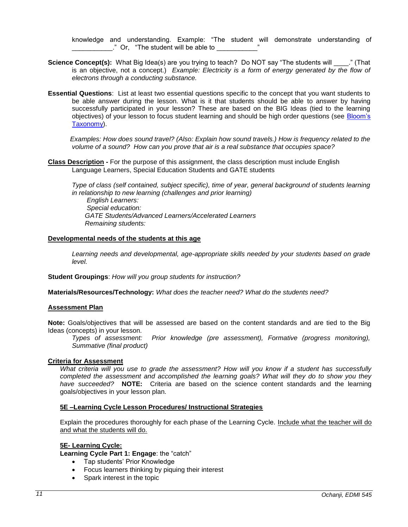knowledge and understanding. Example: "The student will demonstrate understanding of **Example 2** or, "The student will be able to

- **Science Concept(s):** What Big Idea(s) are you trying to teach? Do NOT say "The students will \_\_\_\_." (That is an objective, not a concept.) *Example: Electricity is a form of energy generated by the flow of electrons through a conducting substance.*
- **Essential Questions**:List at least two essential questions specific to the concept that you want students to be able answer during the lesson. What is it that students should be able to answer by having successfully participated in your lesson? These are based on the BIG Ideas (tied to the learning objectives) of your lesson to focus student learning and should be high order questions (see [Bloom's](http://www.odu.edu/educ/roverbau/Bloom/blooms_taxonomy.htm)  [Taxonomy\)](http://www.odu.edu/educ/roverbau/Bloom/blooms_taxonomy.htm).

 *Examples: How does sound travel? (Also: Explain how sound travels.) How is frequency related to the volume of a sound? How can you prove that air is a real substance that occupies space?*

**Class Description -** For the purpose of this assignment, the class description must include English Language Learners, Special Education Students and GATE students

 *Type of class (self contained, subject specific), time of year, general background of students learning in relationship to new learning (challenges and prior learning) English Learners: Special education: GATE Students/Advanced Learners/Accelerated Learners Remaining students:* 

#### **Developmental needs of the students at this age**

Learning needs and developmental, age-appropriate skills needed by your students based on grade *level.*

**Student Groupings**: *How will you group students for instruction?*

**Materials/Resources/Technology:** *What does the teacher need? What do the students need?*

### **Assessment Plan**

**Note:** Goals/objectives that will be assessed are based on the content standards and are tied to the Big Ideas (concepts) in your lesson.

*Types of assessment: Prior knowledge (pre assessment), Formative (progress monitoring), Summative (final product)*

#### **Criteria for Assessment**

*What criteria will you use to grade the assessment? How will you know if a student has successfully completed the assessment and accomplished the learning goals? What will they do to show you they have succeeded?* **NOTE:** Criteria are based on the science content standards and the learning goals/objectives in your lesson plan.

### **5E –Learning Cycle Lesson Procedures/ Instructional Strategies**

Explain the procedures thoroughly for each phase of the Learning Cycle. Include what the teacher will do and what the students will do.

#### **5E- Learning Cycle:**

**Learning Cycle Part 1: Engage**: the "catch"

- Tap students' Prior Knowledge
- Focus learners thinking by piquing their interest
- Spark interest in the topic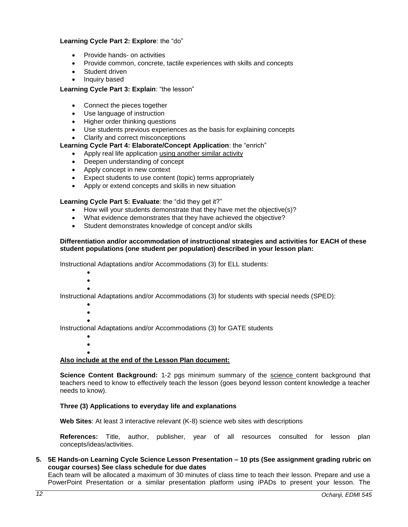### **Learning Cycle Part 2: Explore**: the "do"

- Provide hands- on activities
- Provide common, concrete, tactile experiences with skills and concepts
- Student driven
- Inquiry based

## **Learning Cycle Part 3: Explain**: "the lesson"

- Connect the pieces together
- Use language of instruction
- Higher order thinking questions
- Use students previous experiences as the basis for explaining concepts
- Clarify and correct misconceptions

## **Learning Cycle Part 4: Elaborate/Concept Application**: the "enrich"

- Apply real life application using another similar activity
- Deepen understanding of concept
- Apply concept in new context
- Expect students to use content (topic) terms appropriately
- Apply or extend concepts and skills in new situation

## **Learning Cycle Part 5: Evaluate**: the "did they get it?"

- How will your students demonstrate that they have met the objective(s)?
- What evidence demonstrates that they have achieved the objective?
- Student demonstrates knowledge of concept and/or skills

### **Differentiation and/or accommodation of instructional strategies and activities for EACH of these student populations (one student per population) described in your lesson plan:**

Instructional Adaptations and/or Accommodations (3) for ELL students:

- $\bullet$
- $\bullet$  $\bullet$

Instructional Adaptations and/or Accommodations (3) for students with special needs (SPED):

- $\bullet$  $\bullet$
- $\bullet$

Instructional Adaptations and/or Accommodations (3) for GATE students

 $\bullet$ 

 $\bullet$  $\bullet$ 

# **Also include at the end of the Lesson Plan document:**

**Science Content Background:** 1-2 pgs minimum summary of the science content background that teachers need to know to effectively teach the lesson (goes beyond lesson content knowledge a teacher needs to know).

### **Three (3) Applications to everyday life and explanations**

**Web Sites**: At least 3 interactive relevant (K-8) science web sites with descriptions

**References:** Title, author, publisher, year of all resources consulted for lesson plan concepts/ideas/activities.

## **5. 5E Hands-on Learning Cycle Science Lesson Presentation – 10 pts (See assignment grading rubric on cougar courses) See class schedule for due dates**

Each team will be allocated a maximum of 30 minutes of class time to teach their lesson. Prepare and use a PowerPoint Presentation or a similar presentation platform using iPADs to present your lesson. The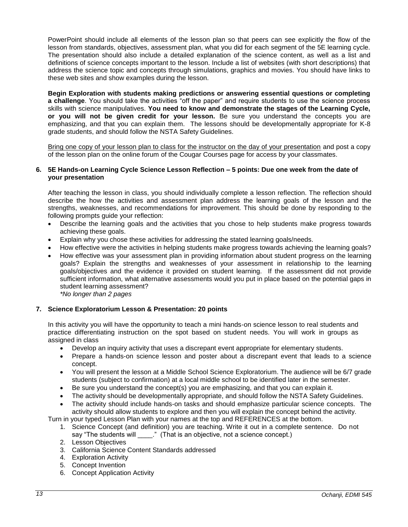PowerPoint should include all elements of the lesson plan so that peers can see explicitly the flow of the lesson from standards, objectives, assessment plan, what you did for each segment of the 5E learning cycle. The presentation should also include a detailed explanation of the science content, as well as a list and definitions of science concepts important to the lesson. Include a list of websites (with short descriptions) that address the science topic and concepts through simulations, graphics and movies. You should have links to these web sites and show examples during the lesson.

**Begin Exploration with students making predictions or answering essential questions or completing a challenge**. You should take the activities "off the paper" and require students to use the science process skills with science manipulatives. **You need to know and demonstrate the stages of the Learning Cycle, or you will not be given credit for your lesson.** Be sure you understand the concepts you are emphasizing, and that you can explain them. The lessons should be developmentally appropriate for K-8 grade students, and should follow the NSTA Safety Guidelines.

Bring one copy of your lesson plan to class for the instructor on the day of your presentation and post a copy of the lesson plan on the online forum of the Cougar Courses page for access by your classmates.

### **6. 5E Hands-on Learning Cycle Science Lesson Reflection – 5 points: Due one week from the date of your presentation**

After teaching the lesson in class, you should individually complete a lesson reflection. The reflection should describe the how the activities and assessment plan address the learning goals of the lesson and the strengths, weaknesses, and recommendations for improvement. This should be done by responding to the following prompts guide your reflection:

- Describe the learning goals and the activities that you chose to help students make progress towards achieving these goals.
- Explain why you chose these activities for addressing the stated learning goals/needs.
- How effective were the activities in helping students make progress towards achieving the learning goals?
- How effective was your assessment plan in providing information about student progress on the learning goals? Explain the strengths and weaknesses of your assessment in relationship to the learning goals/objectives and the evidence it provided on student learning. If the assessment did not provide sufficient information, what alternative assessments would you put in place based on the potential gaps in student learning assessment? *\*No longer than 2 pages*

# **7. Science Exploratorium Lesson & Presentation: 20 points**

In this activity you will have the opportunity to teach a mini hands-on science lesson to real students and practice differentiating instruction on the spot based on student needs. You will work in groups as assigned in class

- Develop an inquiry activity that uses a discrepant event appropriate for elementary students.
- Prepare a hands-on science lesson and poster about a discrepant event that leads to a science concept.
- You will present the lesson at a Middle School Science Exploratorium. The audience will be 6/7 grade students (subject to confirmation) at a local middle school to be identified later in the semester.
- Be sure you understand the concept(s) you are emphasizing, and that you can explain it.
- The activity should be developmentally appropriate, and should follow the NSTA Safety Guidelines.
- The activity should include hands-on tasks and should emphasize particular science concepts. The activity should allow students to explore and then you will explain the concept behind the activity.

Turn in your typed Lesson Plan with your names at the top and REFERENCES at the bottom.

- 1. Science Concept (and definition) you are teaching. Write it out in a complete sentence. Do not say "The students will \_\_\_\_." (That is an objective, not a science concept.)
- 2. Lesson Objectives
- 3. California Science Content Standards addressed
- 4. Exploration Activity
- 5. Concept Invention
- 6. Concept Application Activity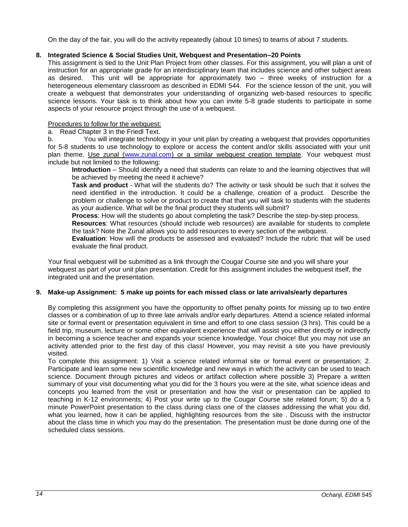On the day of the fair, you will do the activity repeatedly (about 10 times) to teams of about 7 students.

## **8. Integrated Science & Social Studies Unit, Webquest and Presentation–20 Points**

This assignment is tied to the Unit Plan Project from other classes. For this assignment, you will plan a unit of instruction for an appropriate grade for an interdisciplinary team that includes science and other subject areas<br>as desired. This unit will be appropriate for approximately two – three weeks of instruction for a This unit will be appropriate for approximately two  $-$  three weeks of instruction for a heterogeneous elementary classroom as described in EDMI 544. For the science lesson of the unit, you will create a webquest that demonstrates your understanding of organizing web-based resources to specific science lessons. Your task is to think about how you can invite 5-8 grade students to participate in some aspects of your resource project through the use of a webquest.

## Procedures to follow for the webquest:

a. Read Chapter 3 in the Friedl Text.

b. You will integrate technology in your unit plan by creating a webquest that provides opportunities for 5-8 students to use technology to explore or access the content and/or skills associated with your unit plan theme. Use zunal [\(www.zunal.com\)](http://www.zunal.com/) or a similar webquest creation template. Your webquest must include but not limited to the following:

**Introduction** – Should identify a need that students can relate to and the learning objectives that will be achieved by meeting the need it achieve?

**Task and product** - What will the students do? The activity or task should be such that it solves the need identified in the introduction. It could be a challenge, creation of a product. Describe the problem or challenge to solve or product to create that that you will task to students with the students as your audience. What will be the final product they students will submit?

**Process**: How will the students go about completing the task? Describe the step-by-step process.

**Resources**: What resources (should include web resources) are available for students to complete the task? Note the Zunal allows you to add resources to every section of the webquest.

**Evaluation**: How will the products be assessed and evaluated? Include the rubric that will be used evaluate the final product.

Your final webquest will be submitted as a link through the Cougar Course site and you will share your webquest as part of your unit plan presentation. Credit for this assignment includes the webquest itself, the integrated unit and the presentation.

### **9. Make-up Assignment: 5 make up points for each missed class or late arrivals/early departures**

By completing this assignment you have the opportunity to offset penalty points for missing up to two entire classes or a combination of up to three late arrivals and/or early departures. Attend a science related informal site or formal event or presentation equivalent in time and effort to one class session (3 hrs). This could be a field trip, museum, lecture or some other equivalent experience that will assist you either directly or indirectly in becoming a science teacher and expands your science knowledge. Your choice! But you may not use an activity attended prior to the first day of this class! However, you may revisit a site you have previously visited.

To complete this assignment: 1) Visit a science related informal site or formal event or presentation; 2. Participate and learn some new scientific knowledge and new ways in which the activity can be used to teach science. Document through pictures and videos or artifact collection where possible 3) Prepare a written summary of your visit documenting what you did for the 3 hours you were at the site, what science ideas and concepts you learned from the visit or presentation and how the visit or presentation can be applied to teaching in K-12 environments; 4) Post your write up to the Cougar Course site related forum; 5) do a 5 minute PowerPoint presentation to the class during class one of the classes addressing the what you did, what you learned, how it can be applied, highlighting resources from the site . Discuss with the instructor about the class time in which you may do the presentation. The presentation must be done during one of the scheduled class sessions.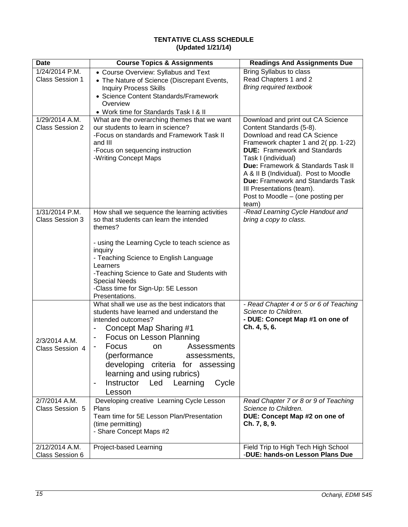# **TENTATIVE CLASS SCHEDULE (Updated 1/21/14)**

| <b>Date</b>            | <b>Course Topics &amp; Assignments</b>               | <b>Readings And Assignments Due</b>                       |
|------------------------|------------------------------------------------------|-----------------------------------------------------------|
| 1/24/2014 P.M.         | • Course Overview: Syllabus and Text                 | Bring Syllabus to class                                   |
| <b>Class Session 1</b> | • The Nature of Science (Discrepant Events,          | Read Chapters 1 and 2                                     |
|                        | <b>Inquiry Process Skills</b>                        | <b>Bring required textbook</b>                            |
|                        | • Science Content Standards/Framework                |                                                           |
|                        | Overview                                             |                                                           |
|                        | • Work time for Standards Task I & II                |                                                           |
| 1/29/2014 A.M.         | What are the overarching themes that we want         | Download and print out CA Science                         |
| <b>Class Session 2</b> | our students to learn in science?                    | Content Standards (5-8).                                  |
|                        | -Focus on standards and Framework Task II            | Download and read CA Science                              |
|                        | and III                                              | Framework chapter 1 and 2(pp. 1-22)                       |
|                        | -Focus on sequencing instruction                     | <b>DUE:</b> Framework and Standards                       |
|                        | -Writing Concept Maps                                | Task I (individual)<br>Due: Framework & Standards Task II |
|                        |                                                      | A & II B (Individual). Post to Moodle                     |
|                        |                                                      | <b>Due: Framework and Standards Task</b>                  |
|                        |                                                      | III Presentations (team).                                 |
|                        |                                                      | Post to Moodle - (one posting per                         |
|                        |                                                      | team)                                                     |
| 1/31/2014 P.M.         | How shall we sequence the learning activities        | -Read Learning Cycle Handout and                          |
| <b>Class Session 3</b> | so that students can learn the intended              | bring a copy to class.                                    |
|                        | themes?                                              |                                                           |
|                        |                                                      |                                                           |
|                        | - using the Learning Cycle to teach science as       |                                                           |
|                        | inquiry                                              |                                                           |
|                        | - Teaching Science to English Language<br>Learners   |                                                           |
|                        | -Teaching Science to Gate and Students with          |                                                           |
|                        | <b>Special Needs</b>                                 |                                                           |
|                        | -Class time for Sign-Up: 5E Lesson                   |                                                           |
|                        | Presentations.                                       |                                                           |
|                        | What shall we use as the best indicators that        | - Read Chapter 4 or 5 or 6 of Teaching                    |
|                        | students have learned and understand the             | Science to Children.                                      |
|                        | intended outcomes?                                   | - DUE: Concept Map #1 on one of                           |
|                        | Concept Map Sharing #1                               | Ch. 4, 5, 6.                                              |
| 2/3/2014 A.M.          | Focus on Lesson Planning<br>$\overline{\phantom{a}}$ |                                                           |
| <b>Class Session 4</b> | Focus<br>Assessments<br>on                           |                                                           |
|                        | (performance<br>assessments,                         |                                                           |
|                        | developing criteria for assessing                    |                                                           |
|                        | learning and using rubrics)                          |                                                           |
|                        |                                                      |                                                           |
|                        | Instructor Led Learning<br>Cycle                     |                                                           |
|                        | Lesson                                               |                                                           |
| 2/7/2014 A.M.          | Developing creative Learning Cycle Lesson            | Read Chapter 7 or 8 or 9 of Teaching                      |
| Class Session 5        | Plans<br>Team time for 5E Lesson Plan/Presentation   | Science to Children.<br>DUE: Concept Map #2 on one of     |
|                        | (time permitting)                                    | Ch. 7, 8, 9.                                              |
|                        | - Share Concept Maps #2                              |                                                           |
|                        |                                                      |                                                           |
| 2/12/2014 A.M.         | Project-based Learning                               | Field Trip to High Tech High School                       |
| Class Session 6        |                                                      | -DUE: hands-on Lesson Plans Due                           |